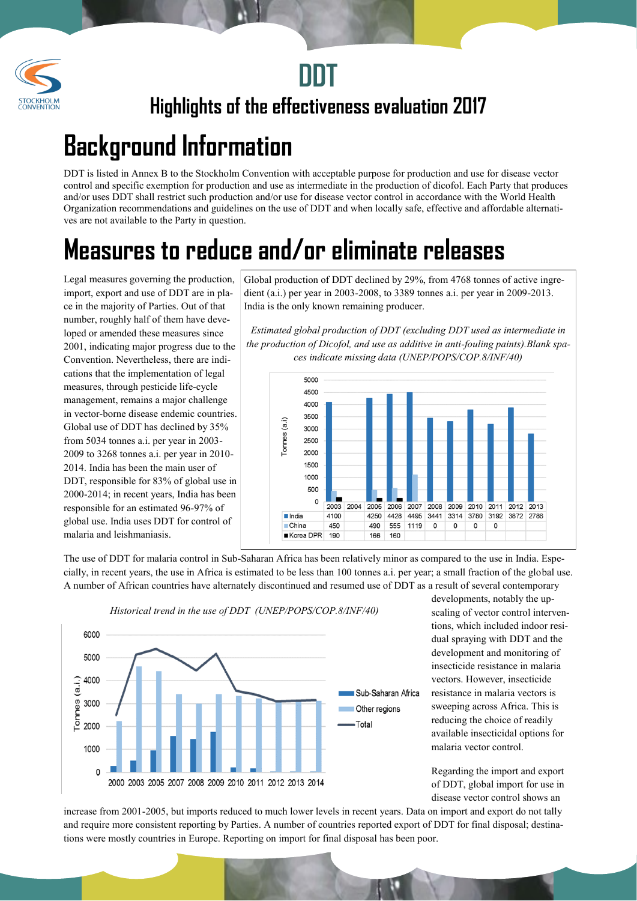



**Highlights of the effectiveness evaluation 2017**

## **Background Information**

DDT is listed in Annex B to the Stockholm Convention with acceptable purpose for production and use for disease vector control and specific exemption for production and use as intermediate in the production of dicofol. Each Party that produces and/or uses DDT shall restrict such production and/or use for disease vector control in accordance with the World Health Organization recommendations and guidelines on the use of DDT and when locally safe, effective and affordable alternatives are not available to the Party in question.

## **Measures to reduce and/or eliminate releases**

Legal measures governing the production, import, export and use of DDT are in place in the majority of Parties. Out of that number, roughly half of them have developed or amended these measures since 2001, indicating major progress due to the Convention. Nevertheless, there are indications that the implementation of legal measures, through pesticide life-cycle management, remains a major challenge in vector-borne disease endemic countries. Global use of DDT has declined by 35% from 5034 tonnes a.i. per year in 2003- 2009 to 3268 tonnes a.i. per year in 2010- 2014. India has been the main user of DDT, responsible for 83% of global use in 2000-2014; in recent years, India has been responsible for an estimated 96-97% of global use. India uses DDT for control of malaria and leishmaniasis.

Global production of DDT declined by 29%, from 4768 tonnes of active ingredient (a.i.) per year in 2003-2008, to 3389 tonnes a.i. per year in 2009-2013. India is the only known remaining producer.

*Estimated global production of DDT (excluding DDT used as intermediate in the production of Dicofol, and use as additive in anti-fouling paints).Blank spaces indicate missing data (UNEP/POPS/COP.8/INF/40)*



The use of DDT for malaria control in Sub-Saharan Africa has been relatively minor as compared to the use in India. Especially, in recent years, the use in Africa is estimated to be less than 100 tonnes a.i. per year; a small fraction of the global use. A number of African countries have alternately discontinued and resumed use of DDT as a result of several contemporary



*Historical trend in the use of DDT (UNEP/POPS/COP.8/INF/40)*

developments, notably the upscaling of vector control interventions, which included indoor residual spraying with DDT and the development and monitoring of insecticide resistance in malaria vectors. However, insecticide resistance in malaria vectors is sweeping across Africa. This is reducing the choice of readily available insecticidal options for malaria vector control.

Regarding the import and export of DDT, global import for use in disease vector control shows an

increase from 2001-2005, but imports reduced to much lower levels in recent years. Data on import and export do not tally and require more consistent reporting by Parties. A number of countries reported export of DDT for final disposal; destinations were mostly countries in Europe. Reporting on import for final disposal has been poor.